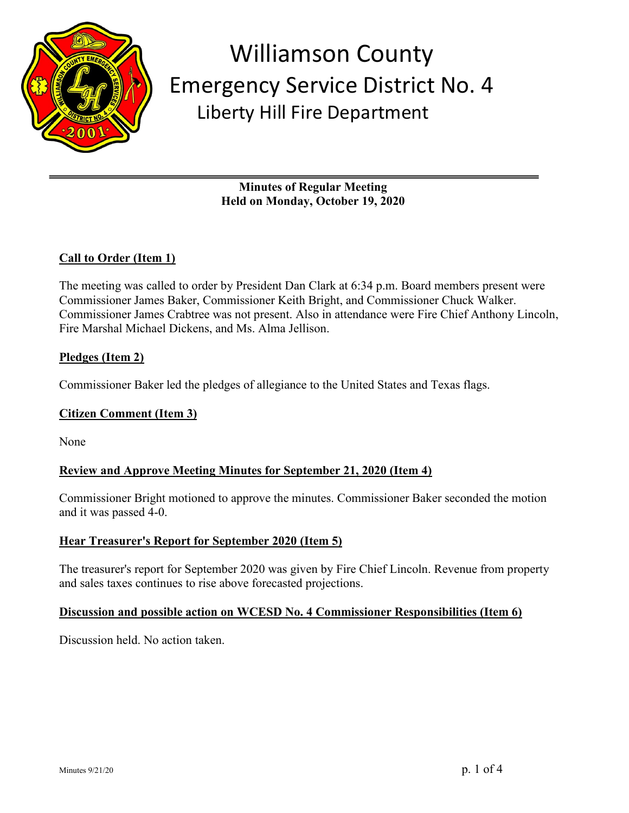

**Minutes of Regular Meeting Held on Monday, October 19, 2020**

## **Call to Order (Item 1)**

The meeting was called to order by President Dan Clark at 6:34 p.m. Board members present were Commissioner James Baker, Commissioner Keith Bright, and Commissioner Chuck Walker. Commissioner James Crabtree was not present. Also in attendance were Fire Chief Anthony Lincoln, Fire Marshal Michael Dickens, and Ms. Alma Jellison.

### **Pledges (Item 2)**

Commissioner Baker led the pledges of allegiance to the United States and Texas flags.

### **Citizen Comment (Item 3)**

None

### **Review and Approve Meeting Minutes for September 21, 2020 (Item 4)**

Commissioner Bright motioned to approve the minutes. Commissioner Baker seconded the motion and it was passed 4-0.

### **Hear Treasurer's Report for September 2020 (Item 5)**

The treasurer's report for September 2020 was given by Fire Chief Lincoln. Revenue from property and sales taxes continues to rise above forecasted projections.

#### **Discussion and possible action on WCESD No. 4 Commissioner Responsibilities (Item 6)**

Discussion held. No action taken.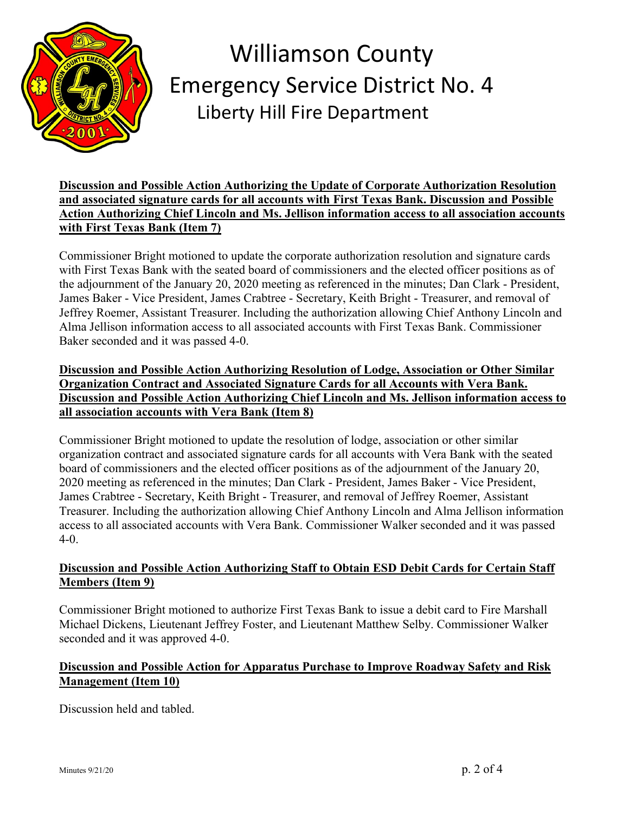

**Discussion and Possible Action Authorizing the Update of Corporate Authorization Resolution and associated signature cards for all accounts with First Texas Bank. Discussion and Possible Action Authorizing Chief Lincoln and Ms. Jellison information access to all association accounts with First Texas Bank (Item 7)**

Commissioner Bright motioned to update the corporate authorization resolution and signature cards with First Texas Bank with the seated board of commissioners and the elected officer positions as of the adjournment of the January 20, 2020 meeting as referenced in the minutes; Dan Clark - President, James Baker - Vice President, James Crabtree - Secretary, Keith Bright - Treasurer, and removal of Jeffrey Roemer, Assistant Treasurer. Including the authorization allowing Chief Anthony Lincoln and Alma Jellison information access to all associated accounts with First Texas Bank. Commissioner Baker seconded and it was passed 4-0.

### **Discussion and Possible Action Authorizing Resolution of Lodge, Association or Other Similar Organization Contract and Associated Signature Cards for all Accounts with Vera Bank. Discussion and Possible Action Authorizing Chief Lincoln and Ms. Jellison information access to all association accounts with Vera Bank (Item 8)**

Commissioner Bright motioned to update the resolution of lodge, association or other similar organization contract and associated signature cards for all accounts with Vera Bank with the seated board of commissioners and the elected officer positions as of the adjournment of the January 20, 2020 meeting as referenced in the minutes; Dan Clark - President, James Baker - Vice President, James Crabtree - Secretary, Keith Bright - Treasurer, and removal of Jeffrey Roemer, Assistant Treasurer. Including the authorization allowing Chief Anthony Lincoln and Alma Jellison information access to all associated accounts with Vera Bank. Commissioner Walker seconded and it was passed 4-0.

### **Discussion and Possible Action Authorizing Staff to Obtain ESD Debit Cards for Certain Staff Members (Item 9)**

Commissioner Bright motioned to authorize First Texas Bank to issue a debit card to Fire Marshall Michael Dickens, Lieutenant Jeffrey Foster, and Lieutenant Matthew Selby. Commissioner Walker seconded and it was approved 4-0.

### **Discussion and Possible Action for Apparatus Purchase to Improve Roadway Safety and Risk Management (Item 10)**

Discussion held and tabled.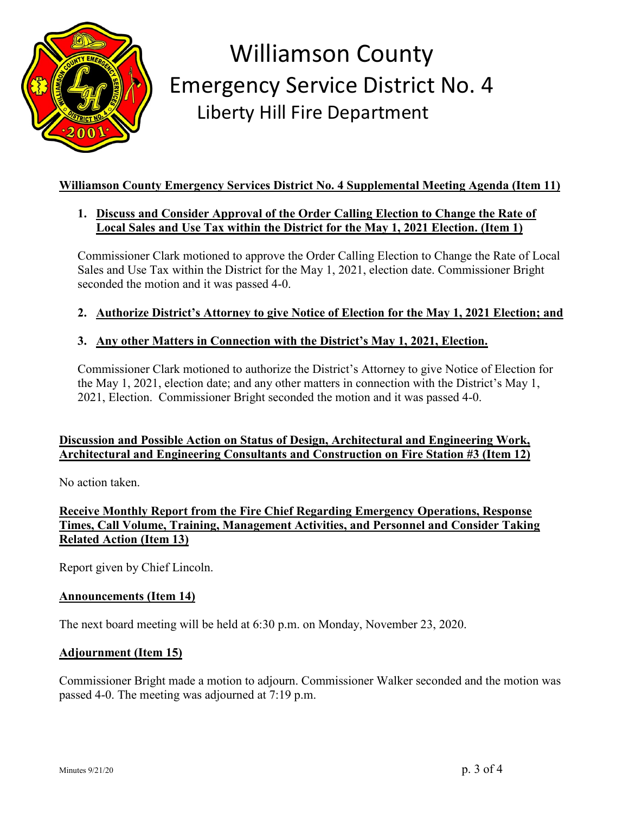

## **Williamson County Emergency Services District No. 4 Supplemental Meeting Agenda (Item 11)**

### **1. Discuss and Consider Approval of the Order Calling Election to Change the Rate of Local Sales and Use Tax within the District for the May 1, 2021 Election. (Item 1)**

Commissioner Clark motioned to approve the Order Calling Election to Change the Rate of Local Sales and Use Tax within the District for the May 1, 2021, election date. Commissioner Bright seconded the motion and it was passed 4-0.

### **2. Authorize District's Attorney to give Notice of Election for the May 1, 2021 Election; and**

### **3. Any other Matters in Connection with the District's May 1, 2021, Election.**

Commissioner Clark motioned to authorize the District's Attorney to give Notice of Election for the May 1, 2021, election date; and any other matters in connection with the District's May 1, 2021, Election. Commissioner Bright seconded the motion and it was passed 4-0.

### **Discussion and Possible Action on Status of Design, Architectural and Engineering Work, Architectural and Engineering Consultants and Construction on Fire Station #3 (Item 12)**

No action taken.

### **Receive Monthly Report from the Fire Chief Regarding Emergency Operations, Response Times, Call Volume, Training, Management Activities, and Personnel and Consider Taking Related Action (Item 13)**

Report given by Chief Lincoln.

#### **Announcements (Item 14)**

The next board meeting will be held at 6:30 p.m. on Monday, November 23, 2020.

#### **Adjournment (Item 15)**

Commissioner Bright made a motion to adjourn. Commissioner Walker seconded and the motion was passed 4-0. The meeting was adjourned at 7:19 p.m.